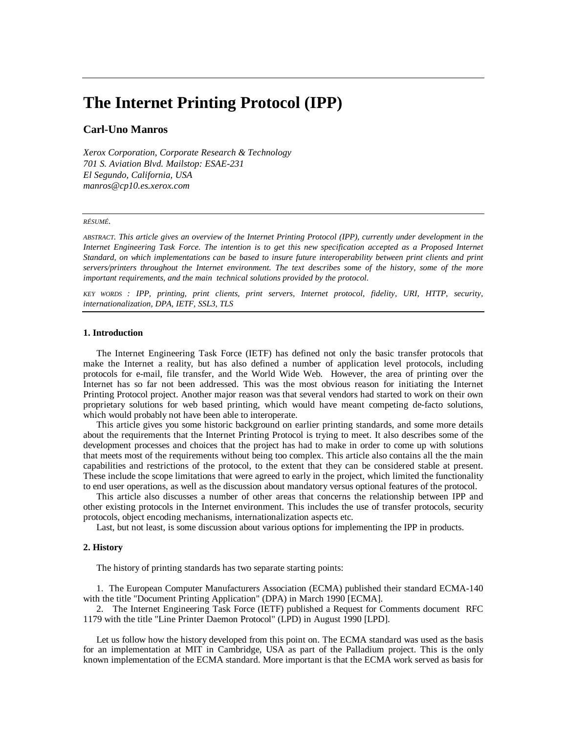# **The Internet Printing Protocol (IPP)**

# **Carl-Uno Manros**

*Xerox Corporation, Corporate Research & Technology 701 S. Aviation Blvd. Mailstop: ESAE-231 El Segundo, California, USA manros@cp10.es.xerox.com*

#### *RÉSUMÉ.*

*ABSTRACT. This article gives an overview of the Internet Printing Protocol (IPP), currently under development in the Internet Engineering Task Force. The intention is to get this new specification accepted as a Proposed Internet Standard, on which implementations can be based to insure future interoperability between print clients and print servers/printers throughout the Internet environment. The text describes some of the history, some of the more important requirements, and the main technical solutions provided by the protocol.*

*KEY WORDS : IPP, printing, print clients, print servers, Internet protocol, fidelity, URI, HTTP, security, internationalization, DPA, IETF, SSL3, TLS*

## **1. Introduction**

The Internet Engineering Task Force (IETF) has defined not only the basic transfer protocols that make the Internet a reality, but has also defined a number of application level protocols, including protocols for e-mail, file transfer, and the World Wide Web. However, the area of printing over the Internet has so far not been addressed. This was the most obvious reason for initiating the Internet Printing Protocol project. Another major reason was that several vendors had started to work on their own proprietary solutions for web based printing, which would have meant competing de-facto solutions, which would probably not have been able to interoperate.

This article gives you some historic background on earlier printing standards, and some more details about the requirements that the Internet Printing Protocol is trying to meet. It also describes some of the development processes and choices that the project has had to make in order to come up with solutions that meets most of the requirements without being too complex. This article also contains all the the main capabilities and restrictions of the protocol, to the extent that they can be considered stable at present. These include the scope limitations that were agreed to early in the project, which limited the functionality to end user operations, as well as the discussion about mandatory versus optional features of the protocol.

This article also discusses a number of other areas that concerns the relationship between IPP and other existing protocols in the Internet environment. This includes the use of transfer protocols, security protocols, object encoding mechanisms, internationalization aspects etc.

Last, but not least, is some discussion about various options for implementing the IPP in products.

## **2. History**

The history of printing standards has two separate starting points:

1. The European Computer Manufacturers Association (ECMA) published their standard ECMA-140 with the title "Document Printing Application" (DPA) in March 1990 [ECMA].

2. The Internet Engineering Task Force (IETF) published a Request for Comments document RFC 1179 with the title "Line Printer Daemon Protocol" (LPD) in August 1990 [LPD].

Let us follow how the history developed from this point on. The ECMA standard was used as the basis for an implementation at MIT in Cambridge, USA as part of the Palladium project. This is the only known implementation of the ECMA standard. More important is that the ECMA work served as basis for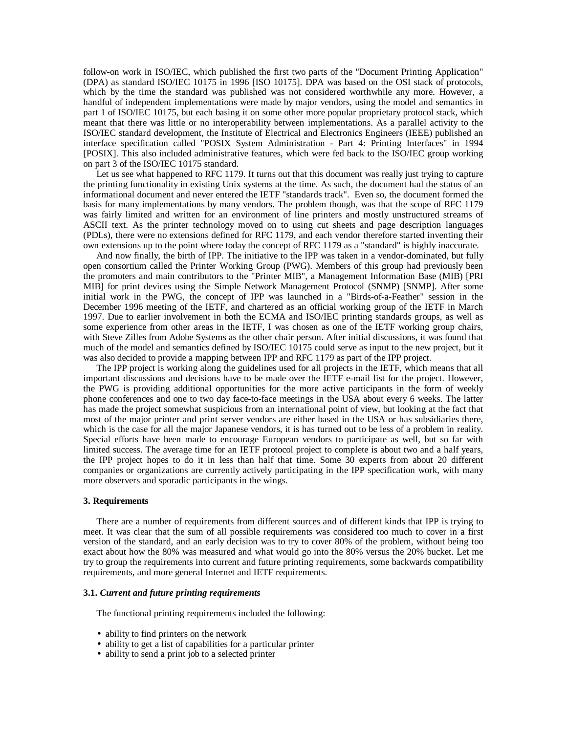follow-on work in ISO/IEC, which published the first two parts of the "Document Printing Application" (DPA) as standard ISO/IEC 10175 in 1996 [ISO 10175]. DPA was based on the OSI stack of protocols, which by the time the standard was published was not considered worthwhile any more. However, a handful of independent implementations were made by major vendors, using the model and semantics in part 1 of ISO/IEC 10175, but each basing it on some other more popular proprietary protocol stack, which meant that there was little or no interoperability between implementations. As a parallel activity to the ISO/IEC standard development, the Institute of Electrical and Electronics Engineers (IEEE) published an interface specification called "POSIX System Administration - Part 4: Printing Interfaces" in 1994 [POSIX]. This also included administrative features, which were fed back to the ISO/IEC group working on part 3 of the ISO/IEC 10175 standard.

Let us see what happened to RFC 1179. It turns out that this document was really just trying to capture the printing functionality in existing Unix systems at the time. As such, the document had the status of an informational document and never entered the IETF "standards track". Even so, the document formed the basis for many implementations by many vendors. The problem though, was that the scope of RFC 1179 was fairly limited and written for an environment of line printers and mostly unstructured streams of ASCII text. As the printer technology moved on to using cut sheets and page description languages (PDLs), there were no extensions defined for RFC 1179, and each vendor therefore started inventing their own extensions up to the point where today the concept of RFC 1179 as a "standard" is highly inaccurate.

And now finally, the birth of IPP. The initiative to the IPP was taken in a vendor-dominated, but fully open consortium called the Printer Working Group (PWG). Members of this group had previously been the promoters and main contributors to the "Printer MIB", a Management Information Base (MIB) [PRI MIB] for print devices using the Simple Network Management Protocol (SNMP) [SNMP]. After some initial work in the PWG, the concept of IPP was launched in a "Birds-of-a-Feather" session in the December 1996 meeting of the IETF, and chartered as an official working group of the IETF in March 1997. Due to earlier involvement in both the ECMA and ISO/IEC printing standards groups, as well as some experience from other areas in the IETF, I was chosen as one of the IETF working group chairs, with Steve Zilles from Adobe Systems as the other chair person. After initial discussions, it was found that much of the model and semantics defined by ISO/IEC 10175 could serve as input to the new project, but it was also decided to provide a mapping between IPP and RFC 1179 as part of the IPP project.

The IPP project is working along the guidelines used for all projects in the IETF, which means that all important discussions and decisions have to be made over the IETF e-mail list for the project. However, the PWG is providing additional opportunities for the more active participants in the form of weekly phone conferences and one to two day face-to-face meetings in the USA about every 6 weeks. The latter has made the project somewhat suspicious from an international point of view, but looking at the fact that most of the major printer and print server vendors are either based in the USA or has subsidiaries there, which is the case for all the major Japanese vendors, it is has turned out to be less of a problem in reality. Special efforts have been made to encourage European vendors to participate as well, but so far with limited success. The average time for an IETF protocol project to complete is about two and a half years, the IPP project hopes to do it in less than half that time. Some 30 experts from about 20 different companies or organizations are currently actively participating in the IPP specification work, with many more observers and sporadic participants in the wings.

## **3. Requirements**

There are a number of requirements from different sources and of different kinds that IPP is trying to meet. It was clear that the sum of all possible requirements was considered too much to cover in a first version of the standard, and an early decision was to try to cover 80% of the problem, without being too exact about how the 80% was measured and what would go into the 80% versus the 20% bucket. Let me try to group the requirements into current and future printing requirements, some backwards compatibility requirements, and more general Internet and IETF requirements.

## **3.1.** *Current and future printing requirements*

The functional printing requirements included the following:

- ability to find printers on the network
- ability to get a list of capabilities for a particular printer
- ability to send a print job to a selected printer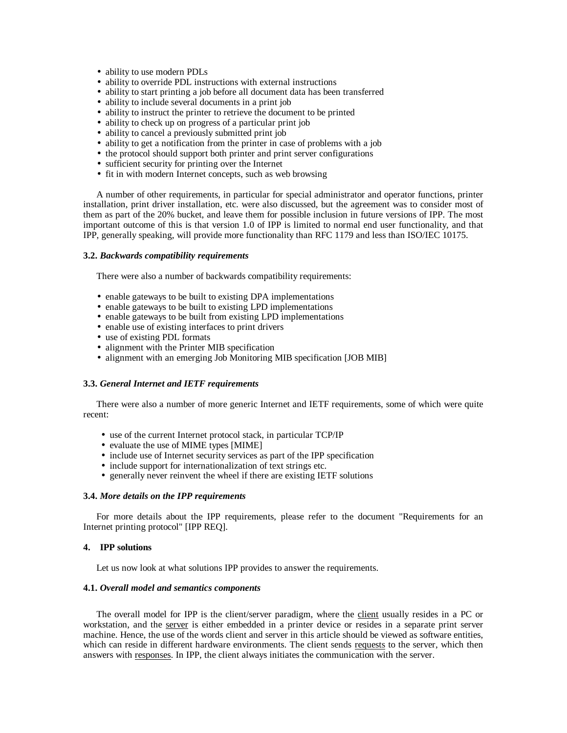- ability to use modern PDLs
- ability to override PDL instructions with external instructions
- ability to start printing a job before all document data has been transferred
- ability to include several documents in a print job
- ability to instruct the printer to retrieve the document to be printed
- ability to check up on progress of a particular print job
- ability to cancel a previously submitted print job
- ability to get a notification from the printer in case of problems with a job
- the protocol should support both printer and print server configurations
- sufficient security for printing over the Internet
- fit in with modern Internet concepts, such as web browsing

A number of other requirements, in particular for special administrator and operator functions, printer installation, print driver installation, etc. were also discussed, but the agreement was to consider most of them as part of the 20% bucket, and leave them for possible inclusion in future versions of IPP. The most important outcome of this is that version 1.0 of IPP is limited to normal end user functionality, and that IPP, generally speaking, will provide more functionality than RFC 1179 and less than ISO/IEC 10175.

## **3.2.** *Backwards compatibility requirements*

There were also a number of backwards compatibility requirements:

- enable gateways to be built to existing DPA implementations
- enable gateways to be built to existing LPD implementations
- enable gateways to be built from existing LPD implementations
- enable use of existing interfaces to print drivers
- use of existing PDL formats
- alignment with the Printer MIB specification
- alignment with an emerging Job Monitoring MIB specification [JOB MIB]

## **3.3.** *General Internet and IETF requirements*

There were also a number of more generic Internet and IETF requirements, some of which were quite recent:

- use of the current Internet protocol stack, in particular TCP/IP
- evaluate the use of MIME types [MIME]
- include use of Internet security services as part of the IPP specification
- include support for internationalization of text strings etc.
- generally never reinvent the wheel if there are existing IETF solutions

## **3.4.** *More details on the IPP requirements*

For more details about the IPP requirements, please refer to the document "Requirements for an Internet printing protocol" [IPP REQ].

## **4. IPP solutions**

Let us now look at what solutions IPP provides to answer the requirements.

## **4.1.** *Overall model and semantics components*

The overall model for IPP is the client/server paradigm, where the client usually resides in a PC or workstation, and the server is either embedded in a printer device or resides in a separate print server machine. Hence, the use of the words client and server in this article should be viewed as software entities, which can reside in different hardware environments. The client sends requests to the server, which then answers with responses. In IPP, the client always initiates the communication with the server.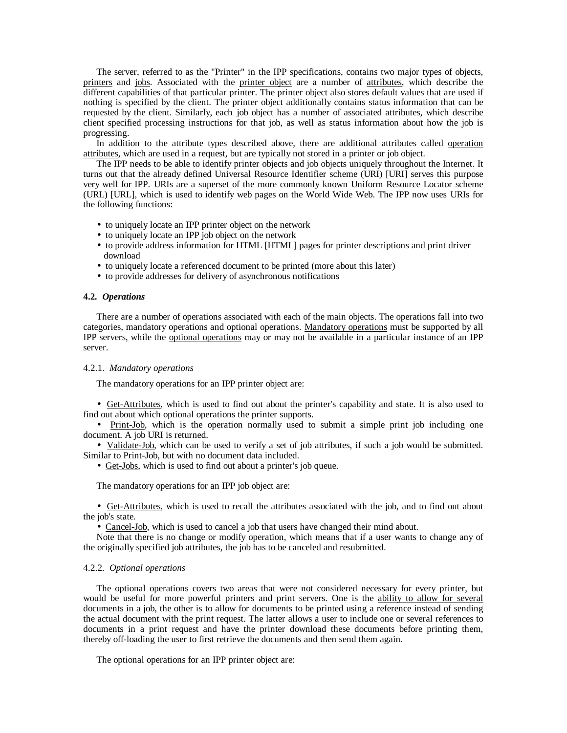The server, referred to as the "Printer" in the IPP specifications, contains two major types of objects, printers and jobs. Associated with the printer object are a number of attributes, which describe the different capabilities of that particular printer. The printer object also stores default values that are used if nothing is specified by the client. The printer object additionally contains status information that can be requested by the client. Similarly, each job object has a number of associated attributes, which describe client specified processing instructions for that job, as well as status information about how the job is progressing.

In addition to the attribute types described above, there are additional attributes called operation attributes, which are used in a request, but are typically not stored in a printer or job object.

The IPP needs to be able to identify printer objects and job objects uniquely throughout the Internet. It turns out that the already defined Universal Resource Identifier scheme (URI) [URI] serves this purpose very well for IPP. URIs are a superset of the more commonly known Uniform Resource Locator scheme (URL) [URL], which is used to identify web pages on the World Wide Web. The IPP now uses URIs for the following functions:

- to uniquely locate an IPP printer object on the network
- to uniquely locate an IPP job object on the network
- to provide address information for HTML [HTML] pages for printer descriptions and print driver download
- to uniquely locate a referenced document to be printed (more about this later)
- to provide addresses for delivery of asynchronous notifications

## **4.2***. Operations*

There are a number of operations associated with each of the main objects. The operations fall into two categories, mandatory operations and optional operations. Mandatory operations must be supported by all IPP servers, while the optional operations may or may not be available in a particular instance of an IPP server.

## 4.2.1. *Mandatory operations*

The mandatory operations for an IPP printer object are:

• Get-Attributes, which is used to find out about the printer's capability and state. It is also used to find out about which optional operations the printer supports.

• Print-Job, which is the operation normally used to submit a simple print job including one document. A job URI is returned.

• Validate-Job, which can be used to verify a set of job attributes, if such a job would be submitted. Similar to Print-Job, but with no document data included.

• Get-Jobs, which is used to find out about a printer's job queue.

The mandatory operations for an IPP job object are:

• Get-Attributes, which is used to recall the attributes associated with the job, and to find out about the job's state.

• Cancel-Job, which is used to cancel a job that users have changed their mind about.

Note that there is no change or modify operation, which means that if a user wants to change any of the originally specified job attributes, the job has to be canceled and resubmitted.

## 4.2.2. *Optional operations*

The optional operations covers two areas that were not considered necessary for every printer, but would be useful for more powerful printers and print servers. One is the ability to allow for several documents in a job, the other is to allow for documents to be printed using a reference instead of sending the actual document with the print request. The latter allows a user to include one or several references to documents in a print request and have the printer download these documents before printing them, thereby off-loading the user to first retrieve the documents and then send them again.

The optional operations for an IPP printer object are: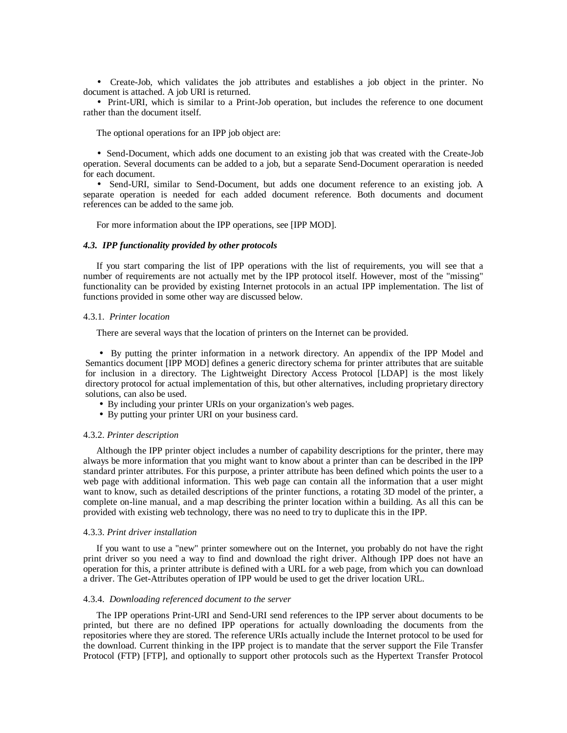• Create-Job, which validates the job attributes and establishes a job object in the printer. No document is attached. A job URI is returned.

• Print-URI, which is similar to a Print-Job operation, but includes the reference to one document rather than the document itself.

The optional operations for an IPP job object are:

• Send-Document, which adds one document to an existing job that was created with the Create-Job operation. Several documents can be added to a job, but a separate Send-Document operaration is needed for each document.

• Send-URI, similar to Send-Document, but adds one document reference to an existing job. A separate operation is needed for each added document reference. Both documents and document references can be added to the same job.

For more information about the IPP operations, see [IPP MOD].

## *4.3. IPP functionality provided by other protocols*

If you start comparing the list of IPP operations with the list of requirements, you will see that a number of requirements are not actually met by the IPP protocol itself. However, most of the "missing" functionality can be provided by existing Internet protocols in an actual IPP implementation. The list of functions provided in some other way are discussed below.

#### 4.3.1. *Printer location*

There are several ways that the location of printers on the Internet can be provided.

• By putting the printer information in a network directory. An appendix of the IPP Model and Semantics document [IPP MOD] defines a generic directory schema for printer attributes that are suitable for inclusion in a directory. The Lightweight Directory Access Protocol [LDAP] is the most likely directory protocol for actual implementation of this, but other alternatives, including proprietary directory solutions, can also be used.

- By including your printer URIs on your organization's web pages.
- By putting your printer URI on your business card.

## 4.3.2. *Printer description*

Although the IPP printer object includes a number of capability descriptions for the printer, there may always be more information that you might want to know about a printer than can be described in the IPP standard printer attributes. For this purpose, a printer attribute has been defined which points the user to a web page with additional information. This web page can contain all the information that a user might want to know, such as detailed descriptions of the printer functions, a rotating 3D model of the printer, a complete on-line manual, and a map describing the printer location within a building. As all this can be provided with existing web technology, there was no need to try to duplicate this in the IPP.

#### 4.3.3. *Print driver installation*

If you want to use a "new" printer somewhere out on the Internet, you probably do not have the right print driver so you need a way to find and download the right driver. Although IPP does not have an operation for this, a printer attribute is defined with a URL for a web page, from which you can download a driver. The Get-Attributes operation of IPP would be used to get the driver location URL.

#### 4.3.4. *Downloading referenced document to the server*

The IPP operations Print-URI and Send-URI send references to the IPP server about documents to be printed, but there are no defined IPP operations for actually downloading the documents from the repositories where they are stored. The reference URIs actually include the Internet protocol to be used for the download. Current thinking in the IPP project is to mandate that the server support the File Transfer Protocol (FTP) [FTP], and optionally to support other protocols such as the Hypertext Transfer Protocol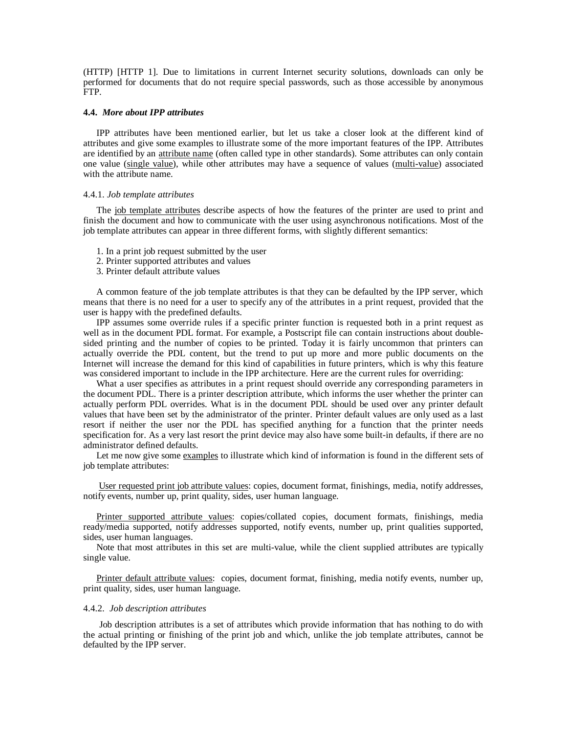(HTTP) [HTTP 1]. Due to limitations in current Internet security solutions, downloads can only be performed for documents that do not require special passwords, such as those accessible by anonymous FTP.

## **4.4.** *More about IPP attributes*

IPP attributes have been mentioned earlier, but let us take a closer look at the different kind of attributes and give some examples to illustrate some of the more important features of the IPP. Attributes are identified by an attribute name (often called type in other standards). Some attributes can only contain one value (single value), while other attributes may have a sequence of values (multi-value) associated with the attribute name.

## 4.4.1. *Job template attributes*

The job template attributes describe aspects of how the features of the printer are used to print and finish the document and how to communicate with the user using asynchronous notifications. Most of the job template attributes can appear in three different forms, with slightly different semantics:

- 1.In a print job request submitted by the user
- 2.Printer supported attributes and values
- 3.Printer default attribute values

A common feature of the job template attributes is that they can be defaulted by the IPP server, which means that there is no need for a user to specify any of the attributes in a print request, provided that the user is happy with the predefined defaults.

IPP assumes some override rules if a specific printer function is requested both in a print request as well as in the document PDL format. For example, a Postscript file can contain instructions about doublesided printing and the number of copies to be printed. Today it is fairly uncommon that printers can actually override the PDL content, but the trend to put up more and more public documents on the Internet will increase the demand for this kind of capabilities in future printers, which is why this feature was considered important to include in the IPP architecture. Here are the current rules for overriding:

What a user specifies as attributes in a print request should override any corresponding parameters in the document PDL. There is a printer description attribute, which informs the user whether the printer can actually perform PDL overrides. What is in the document PDL should be used over any printer default values that have been set by the administrator of the printer. Printer default values are only used as a last resort if neither the user nor the PDL has specified anything for a function that the printer needs specification for. As a very last resort the print device may also have some built-in defaults, if there are no administrator defined defaults.

Let me now give some examples to illustrate which kind of information is found in the different sets of job template attributes:

User requested print job attribute values: copies, document format, finishings, media, notify addresses, notify events, number up, print quality, sides, user human language.

Printer supported attribute values: copies/collated copies, document formats, finishings, media ready/media supported, notify addresses supported, notify events, number up, print qualities supported, sides, user human languages.

Note that most attributes in this set are multi-value, while the client supplied attributes are typically single value.

Printer default attribute values: copies, document format, finishing, media notify events, number up, print quality, sides, user human language.

## 4.4.2. *Job description attributes*

 Job description attributes is a set of attributes which provide information that has nothing to do with the actual printing or finishing of the print job and which, unlike the job template attributes, cannot be defaulted by the IPP server.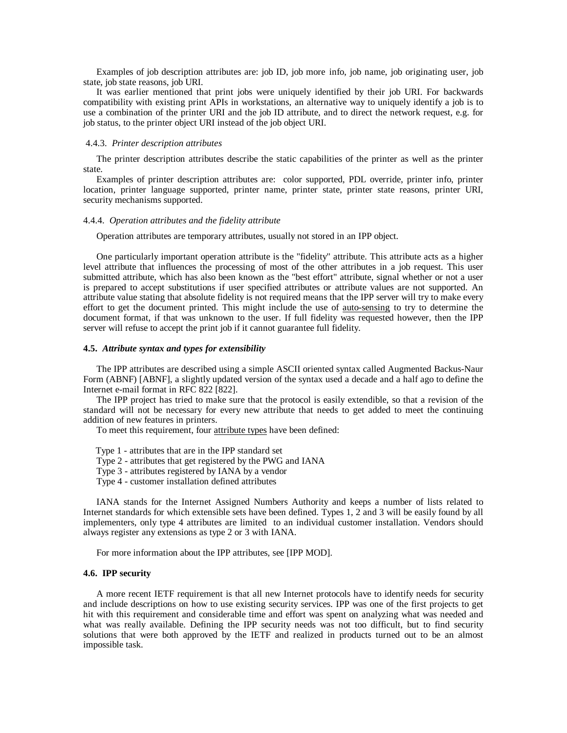Examples of job description attributes are: job ID, job more info, job name, job originating user, job state, job state reasons, job URI.

It was earlier mentioned that print jobs were uniquely identified by their job URI. For backwards compatibility with existing print APIs in workstations, an alternative way to uniquely identify a job is to use a combination of the printer URI and the job ID attribute, and to direct the network request, e.g. for job status, to the printer object URI instead of the job object URI.

## 4.4.3. *Printer description attributes*

The printer description attributes describe the static capabilities of the printer as well as the printer state.

Examples of printer description attributes are: color supported, PDL override, printer info, printer location, printer language supported, printer name, printer state, printer state reasons, printer URI, security mechanisms supported.

## 4.4.4. *Operation attributes and the fidelity attribute*

Operation attributes are temporary attributes, usually not stored in an IPP object.

One particularly important operation attribute is the "fidelity" attribute. This attribute acts as a higher level attribute that influences the processing of most of the other attributes in a job request. This user submitted attribute, which has also been known as the "best effort" attribute, signal whether or not a user is prepared to accept substitutions if user specified attributes or attribute values are not supported. An attribute value stating that absolute fidelity is not required means that the IPP server will try to make every effort to get the document printed. This might include the use of auto-sensing to try to determine the document format, if that was unknown to the user. If full fidelity was requested however, then the IPP server will refuse to accept the print job if it cannot guarantee full fidelity.

## **4.5.** *Attribute syntax and types for extensibility*

The IPP attributes are described using a simple ASCII oriented syntax called Augmented Backus-Naur Form (ABNF) [ABNF], a slightly updated version of the syntax used a decade and a half ago to define the Internet e-mail format in RFC 822 [822].

The IPP project has tried to make sure that the protocol is easily extendible, so that a revision of the standard will not be necessary for every new attribute that needs to get added to meet the continuing addition of new features in printers.

To meet this requirement, four attribute types have been defined:

Type 1 - attributes that are in the IPP standard set

Type 2 - attributes that get registered by the PWG and IANA

Type 3 - attributes registered by IANA by a vendor

Type 4 - customer installation defined attributes

IANA stands for the Internet Assigned Numbers Authority and keeps a number of lists related to Internet standards for which extensible sets have been defined. Types 1, 2 and 3 will be easily found by all implementers, only type 4 attributes are limited to an individual customer installation. Vendors should always register any extensions as type 2 or 3 with IANA.

For more information about the IPP attributes, see [IPP MOD].

## **4.6. IPP security**

A more recent IETF requirement is that all new Internet protocols have to identify needs for security and include descriptions on how to use existing security services. IPP was one of the first projects to get hit with this requirement and considerable time and effort was spent on analyzing what was needed and what was really available. Defining the IPP security needs was not too difficult, but to find security solutions that were both approved by the IETF and realized in products turned out to be an almost impossible task.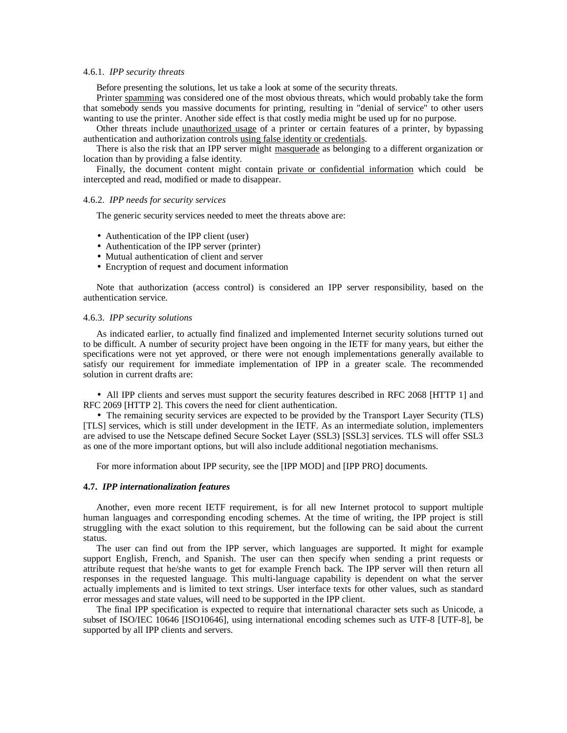## 4.6.1. *IPP security threats*

Before presenting the solutions, let us take a look at some of the security threats.

Printer spamming was considered one of the most obvious threats, which would probably take the form that somebody sends you massive documents for printing, resulting in "denial of service" to other users wanting to use the printer. Another side effect is that costly media might be used up for no purpose.

Other threats include unauthorized usage of a printer or certain features of a printer, by bypassing authentication and authorization controls using false identity or credentials.

There is also the risk that an IPP server might masquerade as belonging to a different organization or location than by providing a false identity.

Finally, the document content might contain private or confidential information which could be intercepted and read, modified or made to disappear.

## 4.6.2. *IPP needs for security services*

The generic security services needed to meet the threats above are:

- Authentication of the IPP client (user)
- Authentication of the IPP server (printer)
- Mutual authentication of client and server
- Encryption of request and document information

Note that authorization (access control) is considered an IPP server responsibility, based on the authentication service.

#### 4.6.3. *IPP security solutions*

As indicated earlier, to actually find finalized and implemented Internet security solutions turned out to be difficult. A number of security project have been ongoing in the IETF for many years, but either the specifications were not yet approved, or there were not enough implementations generally available to satisfy our requirement for immediate implementation of IPP in a greater scale. The recommended solution in current drafts are:

• All IPP clients and serves must support the security features described in RFC 2068 [HTTP 1] and RFC 2069 [HTTP 2]. This covers the need for client authentication.

• The remaining security services are expected to be provided by the Transport Layer Security (TLS) [TLS] services, which is still under development in the IETF. As an intermediate solution, implementers are advised to use the Netscape defined Secure Socket Layer (SSL3) [SSL3] services. TLS will offer SSL3 as one of the more important options, but will also include additional negotiation mechanisms.

For more information about IPP security, see the [IPP MOD] and [IPP PRO] documents.

## **4.7.** *IPP internationalization features*

Another, even more recent IETF requirement, is for all new Internet protocol to support multiple human languages and corresponding encoding schemes. At the time of writing, the IPP project is still struggling with the exact solution to this requirement, but the following can be said about the current status.

The user can find out from the IPP server, which languages are supported. It might for example support English, French, and Spanish. The user can then specify when sending a print requests or attribute request that he/she wants to get for example French back. The IPP server will then return all responses in the requested language. This multi-language capability is dependent on what the server actually implements and is limited to text strings. User interface texts for other values, such as standard error messages and state values, will need to be supported in the IPP client.

The final IPP specification is expected to require that international character sets such as Unicode, a subset of ISO/IEC 10646 [ISO10646], using international encoding schemes such as UTF-8 [UTF-8], be supported by all IPP clients and servers.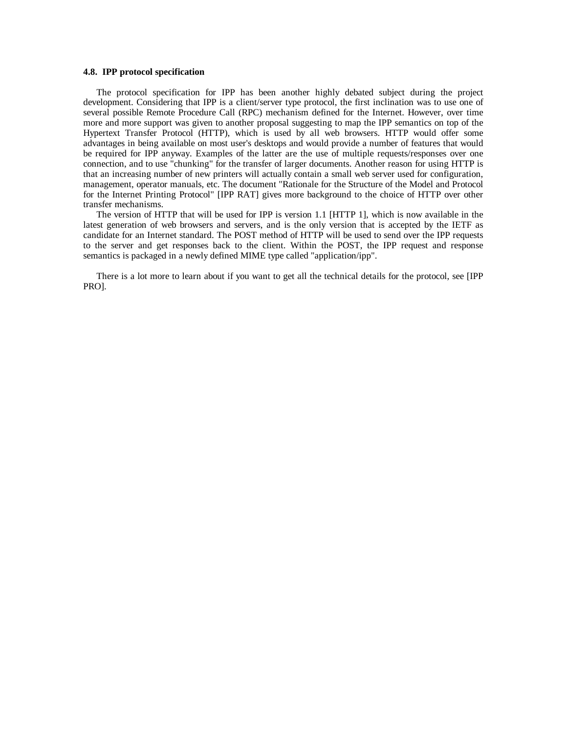## **4.8. IPP protocol specification**

The protocol specification for IPP has been another highly debated subject during the project development. Considering that IPP is a client/server type protocol, the first inclination was to use one of several possible Remote Procedure Call (RPC) mechanism defined for the Internet. However, over time more and more support was given to another proposal suggesting to map the IPP semantics on top of the Hypertext Transfer Protocol (HTTP), which is used by all web browsers. HTTP would offer some advantages in being available on most user's desktops and would provide a number of features that would be required for IPP anyway. Examples of the latter are the use of multiple requests/responses over one connection, and to use "chunking" for the transfer of larger documents. Another reason for using HTTP is that an increasing number of new printers will actually contain a small web server used for configuration, management, operator manuals, etc. The document "Rationale for the Structure of the Model and Protocol for the Internet Printing Protocol" [IPP RAT] gives more background to the choice of HTTP over other transfer mechanisms.

The version of HTTP that will be used for IPP is version 1.1 [HTTP 1], which is now available in the latest generation of web browsers and servers, and is the only version that is accepted by the IETF as candidate for an Internet standard. The POST method of HTTP will be used to send over the IPP requests to the server and get responses back to the client. Within the POST, the IPP request and response semantics is packaged in a newly defined MIME type called "application/ipp".

There is a lot more to learn about if you want to get all the technical details for the protocol, see [IPP PRO].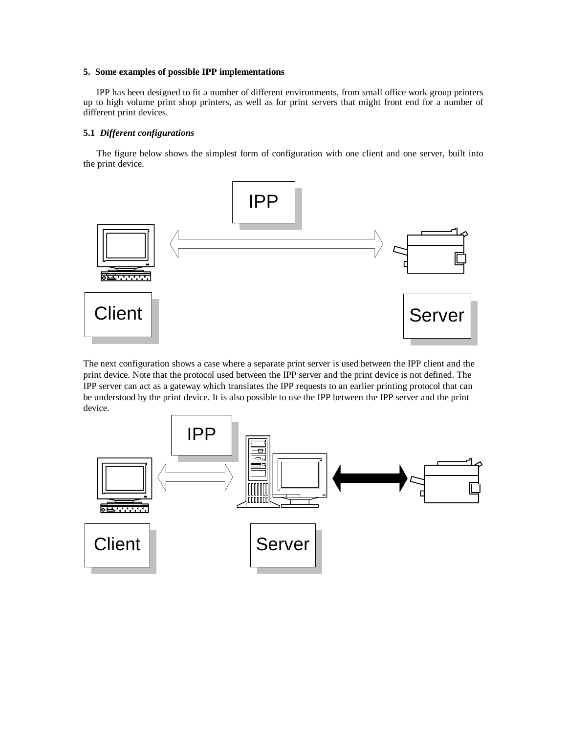## **5. Some examples of possible IPP implementations**

IPP has been designed to fit a number of different environments, from small office work group printers up to high volume print shop printers, as well as for print servers that might front end for a number of different print devices.

## **5.1** *Different configurations*

The figure below shows the simplest form of configuration with one client and one server, built into the print device.



The next configuration shows a case where a separate print server is used between the IPP client and the print device. Note that the protocol used between the IPP server and the print device is not defined. The IPP server can act as a gateway which translates the IPP requests to an earlier printing protocol that can be understood by the print device. It is also possible to use the IPP between the IPP server and the print device.

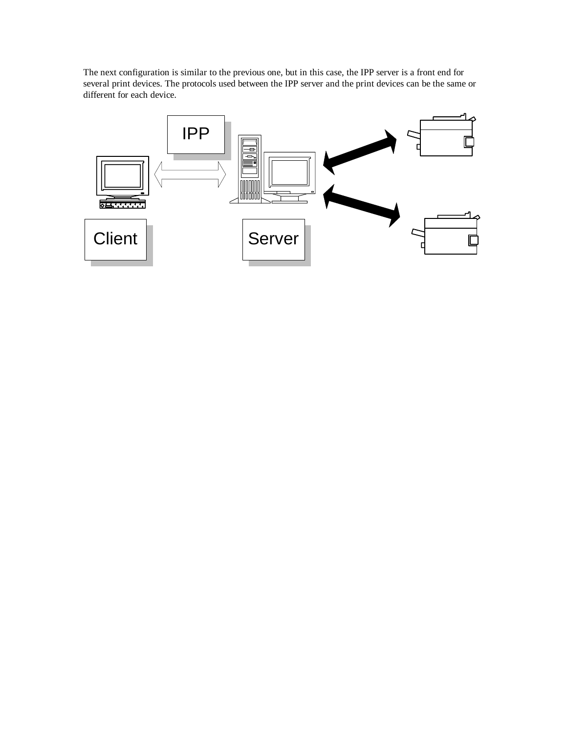The next configuration is similar to the previous one, but in this case, the IPP server is a front end for several print devices. The protocols used between the IPP server and the print devices can be the same or different for each device.

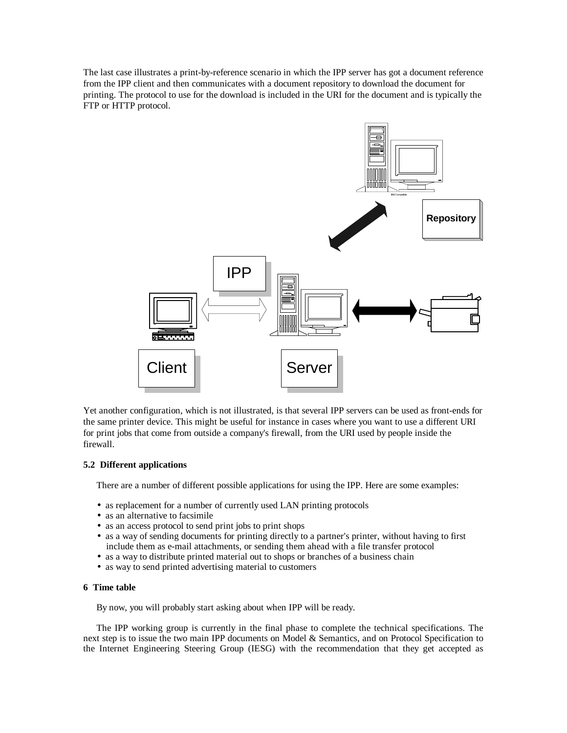The last case illustrates a print-by-reference scenario in which the IPP server has got a document reference from the IPP client and then communicates with a document repository to download the document for printing. The protocol to use for the download is included in the URI for the document and is typically the FTP or HTTP protocol.



Yet another configuration, which is not illustrated, is that several IPP servers can be used as front-ends for the same printer device. This might be useful for instance in cases where you want to use a different URI for print jobs that come from outside a company's firewall, from the URI used by people inside the firewall.

## **5.2 Different applications**

There are a number of different possible applications for using the IPP. Here are some examples:

- as replacement for a number of currently used LAN printing protocols
- as an alternative to facsimile
- as an access protocol to send print jobs to print shops
- as a way of sending documents for printing directly to a partner's printer, without having to first include them as e-mail attachments, or sending them ahead with a file transfer protocol
- as a way to distribute printed material out to shops or branches of a business chain
- as way to send printed advertising material to customers

## **6 Time table**

By now, you will probably start asking about when IPP will be ready.

The IPP working group is currently in the final phase to complete the technical specifications. The next step is to issue the two main IPP documents on Model & Semantics, and on Protocol Specification to the Internet Engineering Steering Group (IESG) with the recommendation that they get accepted as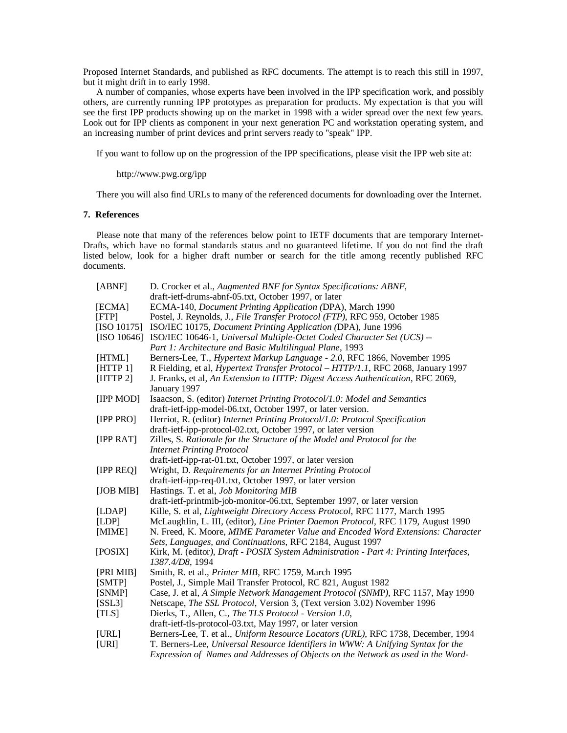Proposed Internet Standards, and published as RFC documents. The attempt is to reach this still in 1997, but it might drift in to early 1998.

A number of companies, whose experts have been involved in the IPP specification work, and possibly others, are currently running IPP prototypes as preparation for products. My expectation is that you will see the first IPP products showing up on the market in 1998 with a wider spread over the next few years. Look out for IPP clients as component in your next generation PC and workstation operating system, and an increasing number of print devices and print servers ready to "speak" IPP.

If you want to follow up on the progression of the IPP specifications, please visit the IPP web site at:

http://www.pwg.org/ipp

There you will also find URLs to many of the referenced documents for downloading over the Internet.

## **7. References**

Please note that many of the references below point to IETF documents that are temporary Internet-Drafts, which have no formal standards status and no guaranteed lifetime. If you do not find the draft listed below, look for a higher draft number or search for the title among recently published RFC documents.

| [ABNF]      | D. Crocker et al., Augmented BNF for Syntax Specifications: ABNF,                               |
|-------------|-------------------------------------------------------------------------------------------------|
|             | draft-ietf-drums-abnf-05.txt, October 1997, or later                                            |
| [ECMA]      | ECMA-140, Document Printing Application (DPA), March 1990                                       |
| [FTP]       | Postel, J. Reynolds, J., File Transfer Protocol (FTP), RFC 959, October 1985                    |
| [ISO 10175] | ISO/IEC 10175, Document Printing Application (DPA), June 1996                                   |
| [ISO 10646] | ISO/IEC 10646-1, Universal Multiple-Octet Coded Character Set (UCS) --                          |
|             | Part 1: Architecture and Basic Multilingual Plane, 1993                                         |
| [HTML]      | Berners-Lee, T., Hypertext Markup Language - 2.0, RFC 1866, November 1995                       |
| [HTTP 1]    | R Fielding, et al, <i>Hypertext Transfer Protocol - HTTP/1.1</i> , RFC 2068, January 1997       |
| [HTTP 2]    | J. Franks, et al, An Extension to HTTP: Digest Access Authentication, RFC 2069,<br>January 1997 |
| [IPP MOD]   | Isaacson, S. (editor) Internet Printing Protocol/1.0: Model and Semantics                       |
|             | draft-ietf-ipp-model-06.txt, October 1997, or later version.                                    |
| [IPP PRO]   | Herriot, R. (editor) Internet Printing Protocol/1.0: Protocol Specification                     |
|             | draft-ietf-ipp-protocol-02.txt, October 1997, or later version                                  |
| [IPP RAT]   | Zilles, S. Rationale for the Structure of the Model and Protocol for the                        |
|             | <b>Internet Printing Protocol</b>                                                               |
|             | draft-ietf-ipp-rat-01.txt, October 1997, or later version                                       |
| [IPP REQ]   | Wright, D. Requirements for an Internet Printing Protocol                                       |
|             | draft-ietf-ipp-req-01.txt, October 1997, or later version                                       |
| [JOB MIB]   | Hastings. T. et al, <i>Job Monitoring MIB</i>                                                   |
|             | draft-ietf-printmib-job-monitor-06.txt, September 1997, or later version                        |
| [LDAP]      | Kille, S. et al, Lightweight Directory Access Protocol, RFC 1177, March 1995                    |
| [LDP]       | McLaughlin, L. III, (editor), Line Printer Daemon Protocol, RFC 1179, August 1990               |
| [MIME]      | N. Freed, K. Moore, MIME Parameter Value and Encoded Word Extensions: Character                 |
|             | Sets, Languages, and Continuations, RFC 2184, August 1997                                       |
| [POSIX]     | Kirk, M. (editor), Draft - POSIX System Administration - Part 4: Printing Interfaces,           |
|             | 1387.4/D8, 1994                                                                                 |
| [PRI MIB]   | Smith, R. et al., Printer MIB, RFC 1759, March 1995                                             |
| [SMTP]      | Postel, J., Simple Mail Transfer Protocol, RC 821, August 1982                                  |
| [SNMP]      | Case, J. et al, A Simple Network Management Protocol (SNMP), RFC 1157, May 1990                 |
| [SSL3]      | Netscape, The SSL Protocol, Version 3, (Text version 3.02) November 1996                        |
| [TLS]       | Dierks, T., Allen, C., The TLS Protocol - Version 1.0,                                          |
|             | draft-ietf-tls-protocol-03.txt, May 1997, or later version                                      |
| [URL]       | Berners-Lee, T. et al., Uniform Resource Locators (URL), RFC 1738, December, 1994               |
| [URI]       | T. Berners-Lee, Universal Resource Identifiers in WWW: A Unifying Syntax for the                |
|             | Expression of Names and Addresses of Objects on the Network as used in the Word-                |